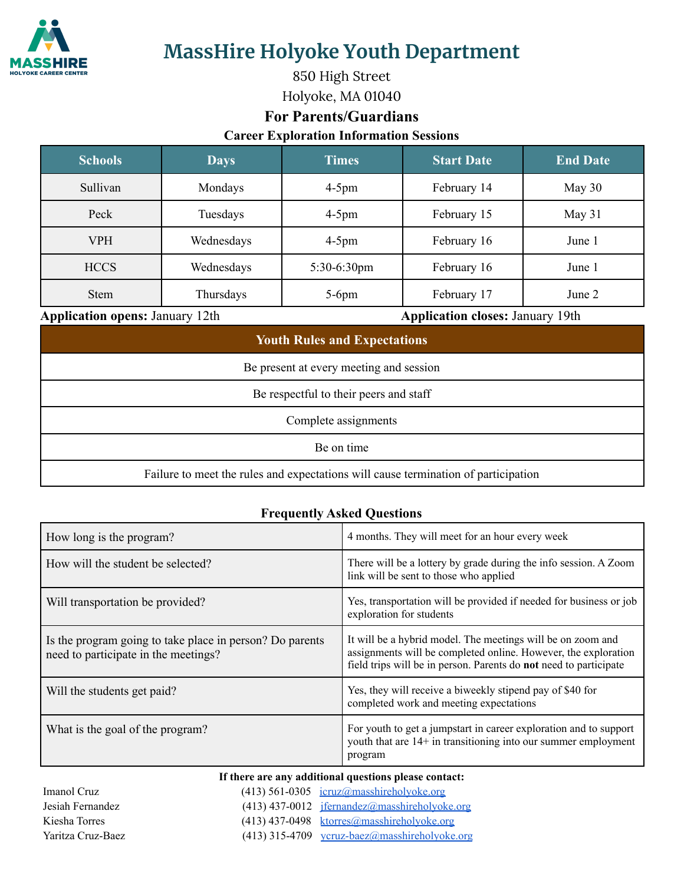

**MassHire Holyoke Youth Department**

850 High Street Holyoke, MA 01040

## **For Parents/Guardians**

**Career Exploration Information Sessions**

| <b>Schools</b> | <b>Days</b> | <b>Times</b>   | <b>Start Date</b> | <b>End Date</b> |
|----------------|-------------|----------------|-------------------|-----------------|
| Sullivan       | Mondays     | $4-5$ pm       | February 14       | May $30$        |
| Peck           | Tuesdays    | $4-5$ pm       | February 15       | May $31$        |
| <b>VPH</b>     | Wednesdays  | $4-5$ pm       | February 16       | June 1          |
| <b>HCCS</b>    | Wednesdays  | $5:30-6:30$ pm | February 16       | June 1          |
| <b>Stem</b>    | Thursdays   | $5-6$ pm       | February 17       | June 2          |

#### **Application opens:** January 12th **Application closes:** January 19th

| <b>Youth Rules and Expectations</b>                                                |  |  |  |
|------------------------------------------------------------------------------------|--|--|--|
| Be present at every meeting and session                                            |  |  |  |
| Be respectful to their peers and staff                                             |  |  |  |
| Complete assignments                                                               |  |  |  |
| Be on time                                                                         |  |  |  |
| Failure to meet the rules and expectations will cause termination of participation |  |  |  |

### **Frequently Asked Questions**

| How long is the program?                                                                                                                                    | 4 months. They will meet for an hour every week                                                                                                                                                    |  |  |  |
|-------------------------------------------------------------------------------------------------------------------------------------------------------------|----------------------------------------------------------------------------------------------------------------------------------------------------------------------------------------------------|--|--|--|
| How will the student be selected?                                                                                                                           | There will be a lottery by grade during the info session. A Zoom<br>link will be sent to those who applied                                                                                         |  |  |  |
| Will transportation be provided?                                                                                                                            | Yes, transportation will be provided if needed for business or job<br>exploration for students                                                                                                     |  |  |  |
| Is the program going to take place in person? Do parents<br>need to participate in the meetings?                                                            | It will be a hybrid model. The meetings will be on zoom and<br>assignments will be completed online. However, the exploration<br>field trips will be in person. Parents do not need to participate |  |  |  |
| Will the students get paid?                                                                                                                                 | Yes, they will receive a biweekly stipend pay of \$40 for<br>completed work and meeting expectations                                                                                               |  |  |  |
| What is the goal of the program?                                                                                                                            | For youth to get a jumpstart in career exploration and to support<br>youth that are 14+ in transitioning into our summer employment<br>program                                                     |  |  |  |
| If there are any additional questions please contact:<br>$(412)$ $E(1.0205)$ is more consequently also leader and<br>$L_{\text{meas}}$ of $L_{\text{meas}}$ |                                                                                                                                                                                                    |  |  |  |

| Imanol Cruz       |  |
|-------------------|--|
| Jesiah Fernandez  |  |
| Kiesha Torres     |  |
| Yaritza Cruz-Baez |  |

### $(413)$  561-0305 [icruz@masshireholyoke.org](mailto:icruz@masshireholyoke.org) (413) 437-0012 [jfernandez@masshireholyoke.org](mailto:jfernandez@masshireholyoke.org) (413) 437-0498 [ktorres@masshireholyoke.org](mailto:ktorres@masshireholyoke.org)

 $(413)$  315-4709 [ycruz-baez@masshireholyoke.org](mailto:ycruz-baez@masshireholyoke.org)